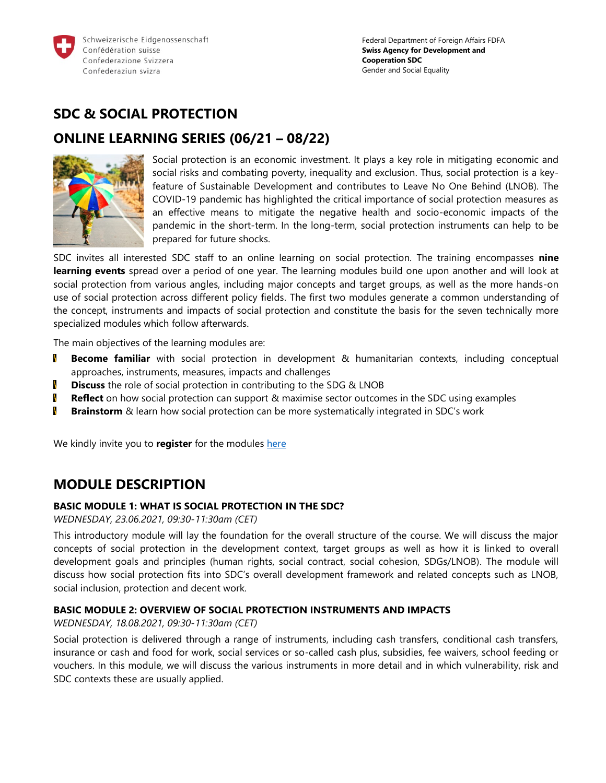

# **SDC & SOCIAL PROTECTION**

## **ONLINE LEARNING SERIES (06/21 – 08/22)**



Social protection is an economic investment. It plays a key role in mitigating economic and social risks and combating poverty, inequality and exclusion. Thus, social protection is a keyfeature of Sustainable Development and contributes to Leave No One Behind (LNOB). The COVID-19 pandemic has highlighted the critical importance of social protection measures as an effective means to mitigate the negative health and socio-economic impacts of the pandemic in the short-term. In the long-term, social protection instruments can help to be prepared for future shocks.

SDC invites all interested SDC staff to an online learning on social protection. The training encompasses **nine learning events** spread over a period of one year. The learning modules build one upon another and will look at social protection from various angles, including major concepts and target groups, as well as the more hands-on use of social protection across different policy fields. The first two modules generate a common understanding of the concept, instruments and impacts of social protection and constitute the basis for the seven technically more specialized modules which follow afterwards.

The main objectives of the learning modules are:

- N **Become familiar** with social protection in development & humanitarian contexts, including conceptual approaches, instruments, measures, impacts and challenges
- N **Discuss** the role of social protection in contributing to the SDG & LNOB
- N **Reflect** on how social protection can support & maximise sector outcomes in the SDC using examples
- N **Brainstorm** & learn how social protection can be more systematically integrated in SDC's work

We kindly invite you to **register** for the modules [here](https://www.shareweb.ch/site/Poverty-Wellbeing/social-protection/Pages/SDC-Social-Protection-Online-Learning-Series.aspx)

## **MODULE DESCRIPTION**

#### **BASIC MODULE 1: WHAT IS SOCIAL PROTECTION IN THE SDC?**

*WEDNESDAY, 23.06.2021, 09:30-11:30am (CET)*

This introductory module will lay the foundation for the overall structure of the course. We will discuss the major concepts of social protection in the development context, target groups as well as how it is linked to overall development goals and principles (human rights, social contract, social cohesion, SDGs/LNOB). The module will discuss how social protection fits into SDC's overall development framework and related concepts such as LNOB, social inclusion, protection and decent work.

#### **BASIC MODULE 2: OVERVIEW OF SOCIAL PROTECTION INSTRUMENTS AND IMPACTS**

*WEDNESDAY, 18.08.2021, 09:30-11:30am (CET)*

Social protection is delivered through a range of instruments, including cash transfers, conditional cash transfers, insurance or cash and food for work, social services or so-called cash plus, subsidies, fee waivers, school feeding or vouchers. In this module, we will discuss the various instruments in more detail and in which vulnerability, risk and SDC contexts these are usually applied.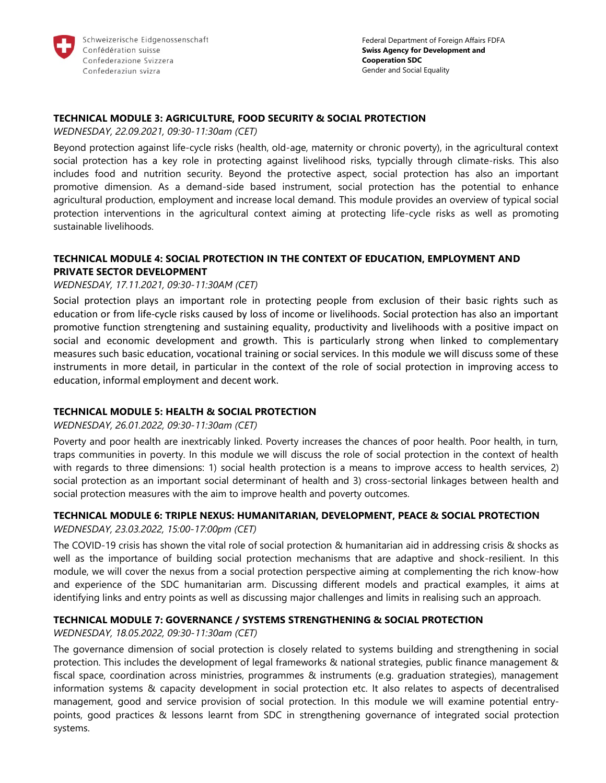

#### **TECHNICAL MODULE 3: AGRICULTURE, FOOD SECURITY & SOCIAL PROTECTION**

*WEDNESDAY, 22.09.2021, 09:30-11:30am (CET)* 

Beyond protection against life-cycle risks (health, old-age, maternity or chronic poverty), in the agricultural context social protection has a key role in protecting against livelihood risks, typcially through climate-risks. This also includes food and nutrition security. Beyond the protective aspect, social protection has also an important promotive dimension. As a demand-side based instrument, social protection has the potential to enhance agricultural production, employment and increase local demand. This module provides an overview of typical social protection interventions in the agricultural context aiming at protecting life-cycle risks as well as promoting sustainable livelihoods.

### **TECHNICAL MODULE 4: SOCIAL PROTECTION IN THE CONTEXT OF EDUCATION, EMPLOYMENT AND PRIVATE SECTOR DEVELOPMENT**

#### *WEDNESDAY, 17.11.2021, 09:30-11:30AM (CET)*

Social protection plays an important role in protecting people from exclusion of their basic rights such as education or from life-cycle risks caused by loss of income or livelihoods. Social protection has also an important promotive function strengtening and sustaining equality, productivity and livelihoods with a positive impact on social and economic development and growth. This is particularly strong when linked to complementary measures such basic education, vocational training or social services. In this module we will discuss some of these instruments in more detail, in particular in the context of the role of social protection in improving access to education, informal employment and decent work.

#### **TECHNICAL MODULE 5: HEALTH & SOCIAL PROTECTION**

#### *WEDNESDAY, 26.01.2022, 09:30-11:30am (CET)*

Poverty and poor health are inextricably linked. Poverty increases the chances of poor health. Poor health, in turn, traps communities in poverty. In this module we will discuss the role of social protection in the context of health with regards to three dimensions: 1) social health protection is a means to improve access to health services, 2) social protection as an important social determinant of health and 3) cross-sectorial linkages between health and social protection measures with the aim to improve health and poverty outcomes.

## **TECHNICAL MODULE 6: TRIPLE NEXUS: HUMANITARIAN, DEVELOPMENT, PEACE & SOCIAL PROTECTION**

*WEDNESDAY, 23.03.2022, 15:00-17:00pm (CET)*

The COVID-19 crisis has shown the vital role of social protection & humanitarian aid in addressing crisis & shocks as well as the importance of building social protection mechanisms that are adaptive and shock-resilient. In this module, we will cover the nexus from a social protection perspective aiming at complementing the rich know-how and experience of the SDC humanitarian arm. Discussing different models and practical examples, it aims at identifying links and entry points as well as discussing major challenges and limits in realising such an approach.

### **TECHNICAL MODULE 7: GOVERNANCE / SYSTEMS STRENGTHENING & SOCIAL PROTECTION**

*WEDNESDAY, 18.05.2022, 09:30-11:30am (CET)* 

The governance dimension of social protection is closely related to systems building and strengthening in social protection. This includes the development of legal frameworks & national strategies, public finance management & fiscal space, coordination across ministries, programmes & instruments (e.g. graduation strategies), management information systems & capacity development in social protection etc. It also relates to aspects of decentralised management, good and service provision of social protection. In this module we will examine potential entrypoints, good practices & lessons learnt from SDC in strengthening governance of integrated social protection systems.